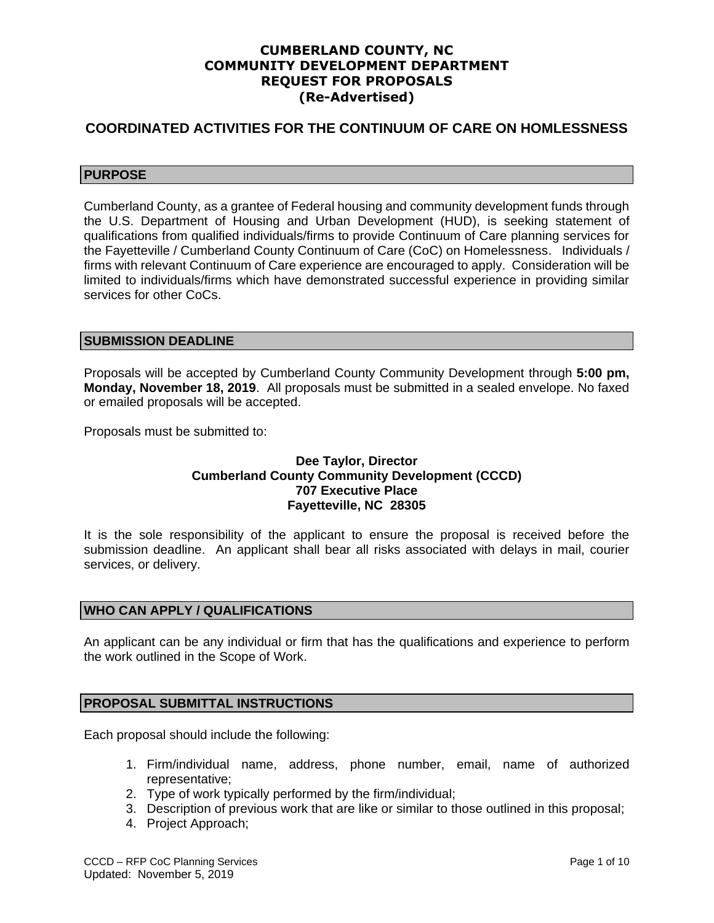# **CUMBERLAND COUNTY, NC COMMUNITY DEVELOPMENT DEPARTMENT REQUEST FOR PROPOSALS (Re-Advertised)**

# **COORDINATED ACTIVITIES FOR THE CONTINUUM OF CARE ON HOMLESSNESS**

# **PURPOSE**

Cumberland County, as a grantee of Federal housing and community development funds through the U.S. Department of Housing and Urban Development (HUD), is seeking statement of qualifications from qualified individuals/firms to provide Continuum of Care planning services for the Fayetteville / Cumberland County Continuum of Care (CoC) on Homelessness. Individuals / firms with relevant Continuum of Care experience are encouraged to apply. Consideration will be limited to individuals/firms which have demonstrated successful experience in providing similar services for other CoCs.

## **SUBMISSION DEADLINE**

Proposals will be accepted by Cumberland County Community Development through **5:00 pm, Monday, November 18, 2019**. All proposals must be submitted in a sealed envelope. No faxed or emailed proposals will be accepted.

Proposals must be submitted to:

## **Dee Taylor, Director Cumberland County Community Development (CCCD) 707 Executive Place Fayetteville, NC 28305**

It is the sole responsibility of the applicant to ensure the proposal is received before the submission deadline. An applicant shall bear all risks associated with delays in mail, courier services, or delivery.

# **WHO CAN APPLY / QUALIFICATIONS**

An applicant can be any individual or firm that has the qualifications and experience to perform the work outlined in the Scope of Work.

## **PROPOSAL SUBMITTAL INSTRUCTIONS**

Each proposal should include the following:

- 1. Firm/individual name, address, phone number, email, name of authorized representative;
- 2. Type of work typically performed by the firm/individual;
- 3. Description of previous work that are like or similar to those outlined in this proposal;
- 4. Project Approach;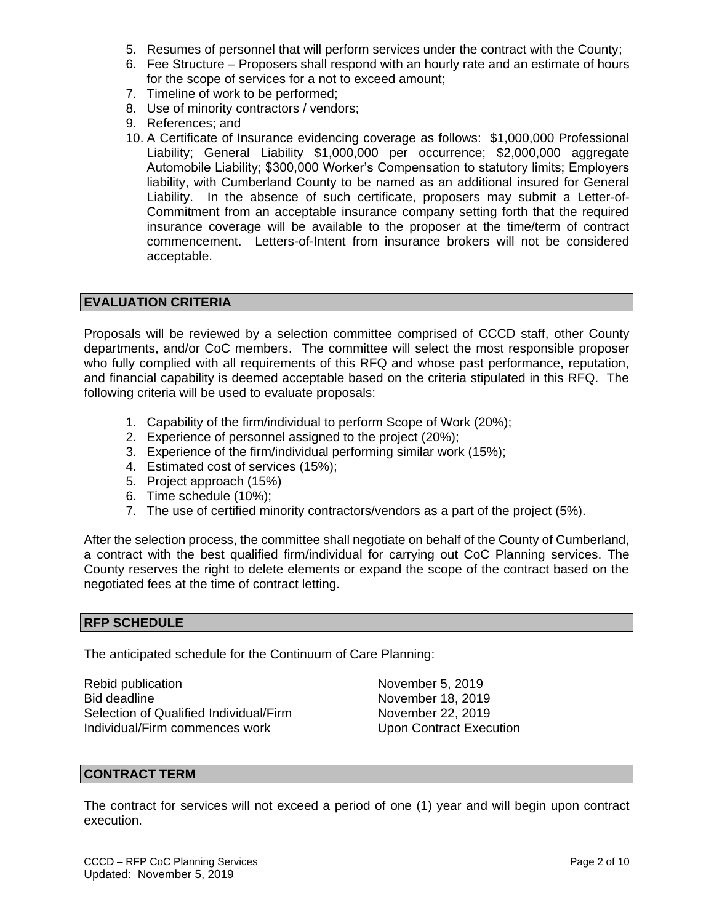- 5. Resumes of personnel that will perform services under the contract with the County;
- 6. Fee Structure Proposers shall respond with an hourly rate and an estimate of hours for the scope of services for a not to exceed amount;
- 7. Timeline of work to be performed;
- 8. Use of minority contractors / vendors;
- 9. References; and
- 10. A Certificate of Insurance evidencing coverage as follows: \$1,000,000 Professional Liability; General Liability \$1,000,000 per occurrence; \$2,000,000 aggregate Automobile Liability; \$300,000 Worker's Compensation to statutory limits; Employers liability, with Cumberland County to be named as an additional insured for General Liability. In the absence of such certificate, proposers may submit a Letter-of-Commitment from an acceptable insurance company setting forth that the required insurance coverage will be available to the proposer at the time/term of contract commencement. Letters-of-Intent from insurance brokers will not be considered acceptable.

# **EVALUATION CRITERIA**

Proposals will be reviewed by a selection committee comprised of CCCD staff, other County departments, and/or CoC members. The committee will select the most responsible proposer who fully complied with all requirements of this RFQ and whose past performance, reputation, and financial capability is deemed acceptable based on the criteria stipulated in this RFQ. The following criteria will be used to evaluate proposals:

- 1. Capability of the firm/individual to perform Scope of Work (20%);
- 2. Experience of personnel assigned to the project (20%);
- 3. Experience of the firm/individual performing similar work (15%);
- 4. Estimated cost of services (15%);
- 5. Project approach (15%)
- 6. Time schedule (10%);
- 7. The use of certified minority contractors/vendors as a part of the project (5%).

After the selection process, the committee shall negotiate on behalf of the County of Cumberland, a contract with the best qualified firm/individual for carrying out CoC Planning services. The County reserves the right to delete elements or expand the scope of the contract based on the negotiated fees at the time of contract letting.

#### **RFP SCHEDULE**

The anticipated schedule for the Continuum of Care Planning:

Rebid publication November 5, 2019 Bid deadline<br>Selection of Qualified Individual/Firm November 22, 2019 Selection of Qualified Individual/Firm Individual/Firm commences work Upon Contract Execution

#### **CONTRACT TERM**

The contract for services will not exceed a period of one (1) year and will begin upon contract execution.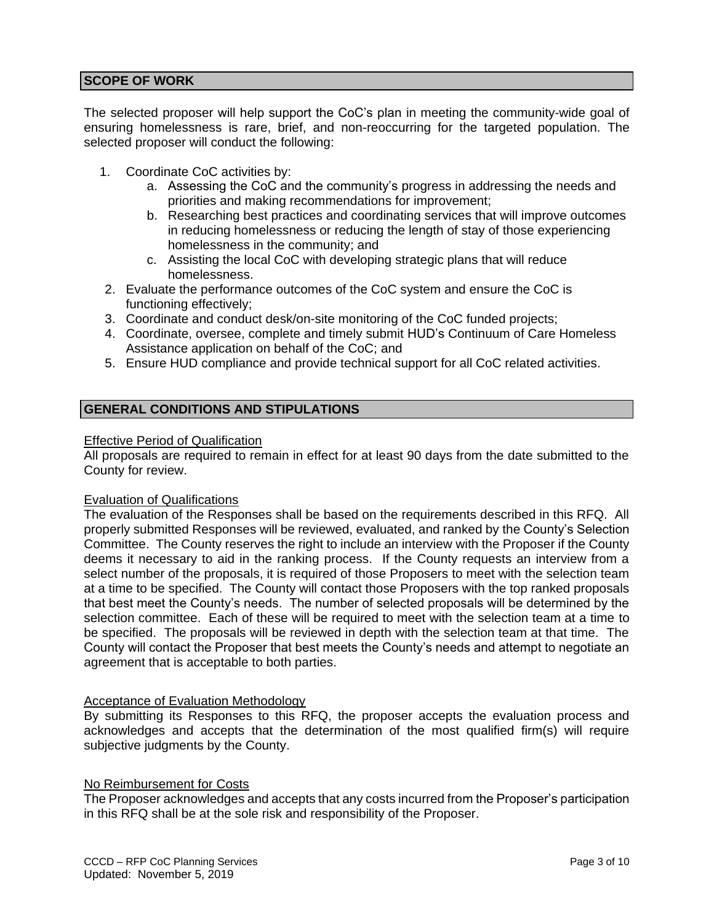# **SCOPE OF WORK**

The selected proposer will help support the CoC's plan in meeting the community-wide goal of ensuring homelessness is rare, brief, and non-reoccurring for the targeted population. The selected proposer will conduct the following:

- 1. Coordinate CoC activities by:
	- a. Assessing the CoC and the community's progress in addressing the needs and priorities and making recommendations for improvement;
	- b. Researching best practices and coordinating services that will improve outcomes in reducing homelessness or reducing the length of stay of those experiencing homelessness in the community; and
	- c. Assisting the local CoC with developing strategic plans that will reduce homelessness.
- 2. Evaluate the performance outcomes of the CoC system and ensure the CoC is functioning effectively;
- 3. Coordinate and conduct desk/on-site monitoring of the CoC funded projects;
- 4. Coordinate, oversee, complete and timely submit HUD's Continuum of Care Homeless Assistance application on behalf of the CoC; and
- 5. Ensure HUD compliance and provide technical support for all CoC related activities.

# **GENERAL CONDITIONS AND STIPULATIONS**

### Effective Period of Qualification

All proposals are required to remain in effect for at least 90 days from the date submitted to the County for review.

## Evaluation of Qualifications

The evaluation of the Responses shall be based on the requirements described in this RFQ. All properly submitted Responses will be reviewed, evaluated, and ranked by the County's Selection Committee. The County reserves the right to include an interview with the Proposer if the County deems it necessary to aid in the ranking process. If the County requests an interview from a select number of the proposals, it is required of those Proposers to meet with the selection team at a time to be specified. The County will contact those Proposers with the top ranked proposals that best meet the County's needs. The number of selected proposals will be determined by the selection committee. Each of these will be required to meet with the selection team at a time to be specified. The proposals will be reviewed in depth with the selection team at that time. The County will contact the Proposer that best meets the County's needs and attempt to negotiate an agreement that is acceptable to both parties.

## **Acceptance of Evaluation Methodology**

By submitting its Responses to this RFQ, the proposer accepts the evaluation process and acknowledges and accepts that the determination of the most qualified firm(s) will require subjective judgments by the County.

## No Reimbursement for Costs

The Proposer acknowledges and accepts that any costs incurred from the Proposer's participation in this RFQ shall be at the sole risk and responsibility of the Proposer.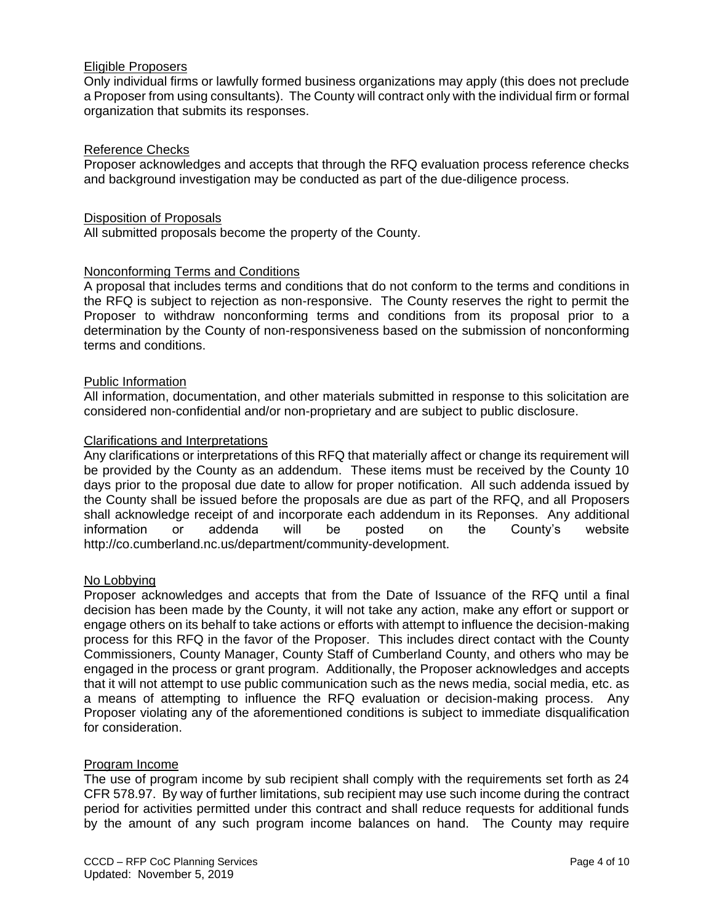## Eligible Proposers

Only individual firms or lawfully formed business organizations may apply (this does not preclude a Proposer from using consultants). The County will contract only with the individual firm or formal organization that submits its responses.

### Reference Checks

Proposer acknowledges and accepts that through the RFQ evaluation process reference checks and background investigation may be conducted as part of the due-diligence process.

#### Disposition of Proposals

All submitted proposals become the property of the County.

### Nonconforming Terms and Conditions

A proposal that includes terms and conditions that do not conform to the terms and conditions in the RFQ is subject to rejection as non-responsive. The County reserves the right to permit the Proposer to withdraw nonconforming terms and conditions from its proposal prior to a determination by the County of non-responsiveness based on the submission of nonconforming terms and conditions.

#### Public Information

All information, documentation, and other materials submitted in response to this solicitation are considered non-confidential and/or non-proprietary and are subject to public disclosure.

### Clarifications and Interpretations

Any clarifications or interpretations of this RFQ that materially affect or change its requirement will be provided by the County as an addendum. These items must be received by the County 10 days prior to the proposal due date to allow for proper notification. All such addenda issued by the County shall be issued before the proposals are due as part of the RFQ, and all Proposers shall acknowledge receipt of and incorporate each addendum in its Reponses. Any additional information or addenda will be posted on the County's website <http://co.cumberland.nc.us/>department/community-development.

## No Lobbying

Proposer acknowledges and accepts that from the Date of Issuance of the RFQ until a final decision has been made by the County, it will not take any action, make any effort or support or engage others on its behalf to take actions or efforts with attempt to influence the decision-making process for this RFQ in the favor of the Proposer. This includes direct contact with the County Commissioners, County Manager, County Staff of Cumberland County, and others who may be engaged in the process or grant program. Additionally, the Proposer acknowledges and accepts that it will not attempt to use public communication such as the news media, social media, etc. as a means of attempting to influence the RFQ evaluation or decision-making process. Any Proposer violating any of the aforementioned conditions is subject to immediate disqualification for consideration.

#### Program Income

The use of program income by sub recipient shall comply with the requirements set forth as 24 CFR 578.97. By way of further limitations, sub recipient may use such income during the contract period for activities permitted under this contract and shall reduce requests for additional funds by the amount of any such program income balances on hand. The County may require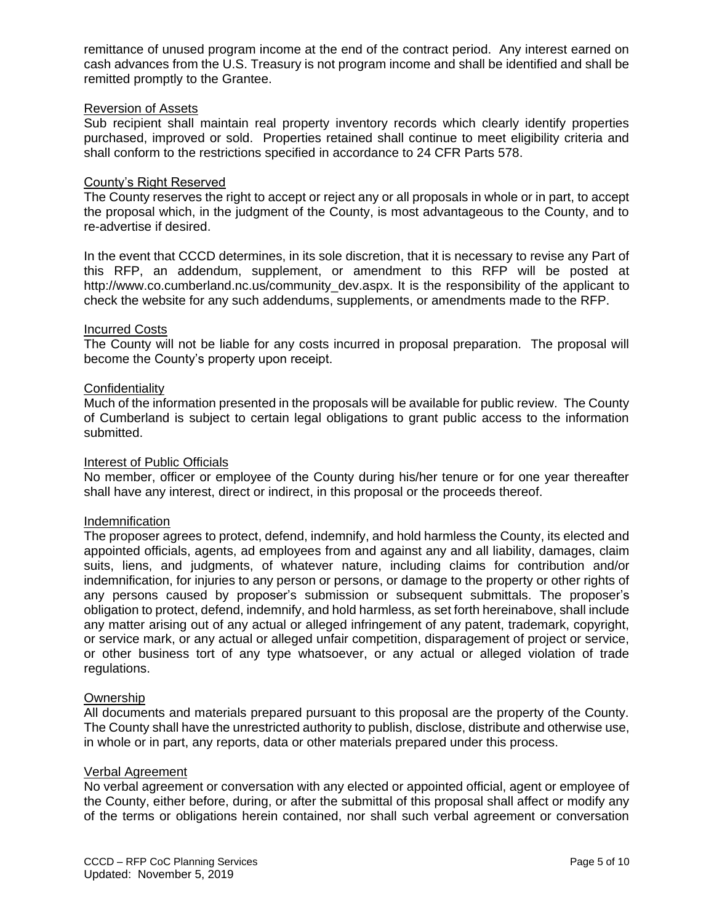remittance of unused program income at the end of the contract period. Any interest earned on cash advances from the U.S. Treasury is not program income and shall be identified and shall be remitted promptly to the Grantee.

### Reversion of Assets

Sub recipient shall maintain real property inventory records which clearly identify properties purchased, improved or sold. Properties retained shall continue to meet eligibility criteria and shall conform to the restrictions specified in accordance to 24 CFR Parts 578.

## County's Right Reserved

The County reserves the right to accept or reject any or all proposals in whole or in part, to accept the proposal which, in the judgment of the County, is most advantageous to the County, and to re-advertise if desired.

In the event that CCCD determines, in its sole discretion, that it is necessary to revise any Part of this RFP, an addendum, supplement, or amendment to this RFP will be posted at http://www.co.cumberland.nc.us/community\_dev.aspx. It is the responsibility of the applicant to check the website for any such addendums, supplements, or amendments made to the RFP.

## Incurred Costs

The County will not be liable for any costs incurred in proposal preparation. The proposal will become the County's property upon receipt.

### **Confidentiality**

Much of the information presented in the proposals will be available for public review. The County of Cumberland is subject to certain legal obligations to grant public access to the information submitted.

#### Interest of Public Officials

No member, officer or employee of the County during his/her tenure or for one year thereafter shall have any interest, direct or indirect, in this proposal or the proceeds thereof.

#### Indemnification

The proposer agrees to protect, defend, indemnify, and hold harmless the County, its elected and appointed officials, agents, ad employees from and against any and all liability, damages, claim suits, liens, and judgments, of whatever nature, including claims for contribution and/or indemnification, for injuries to any person or persons, or damage to the property or other rights of any persons caused by proposer's submission or subsequent submittals. The proposer's obligation to protect, defend, indemnify, and hold harmless, as set forth hereinabove, shall include any matter arising out of any actual or alleged infringement of any patent, trademark, copyright, or service mark, or any actual or alleged unfair competition, disparagement of project or service, or other business tort of any type whatsoever, or any actual or alleged violation of trade regulations.

#### Ownership

All documents and materials prepared pursuant to this proposal are the property of the County. The County shall have the unrestricted authority to publish, disclose, distribute and otherwise use, in whole or in part, any reports, data or other materials prepared under this process.

### Verbal Agreement

No verbal agreement or conversation with any elected or appointed official, agent or employee of the County, either before, during, or after the submittal of this proposal shall affect or modify any of the terms or obligations herein contained, nor shall such verbal agreement or conversation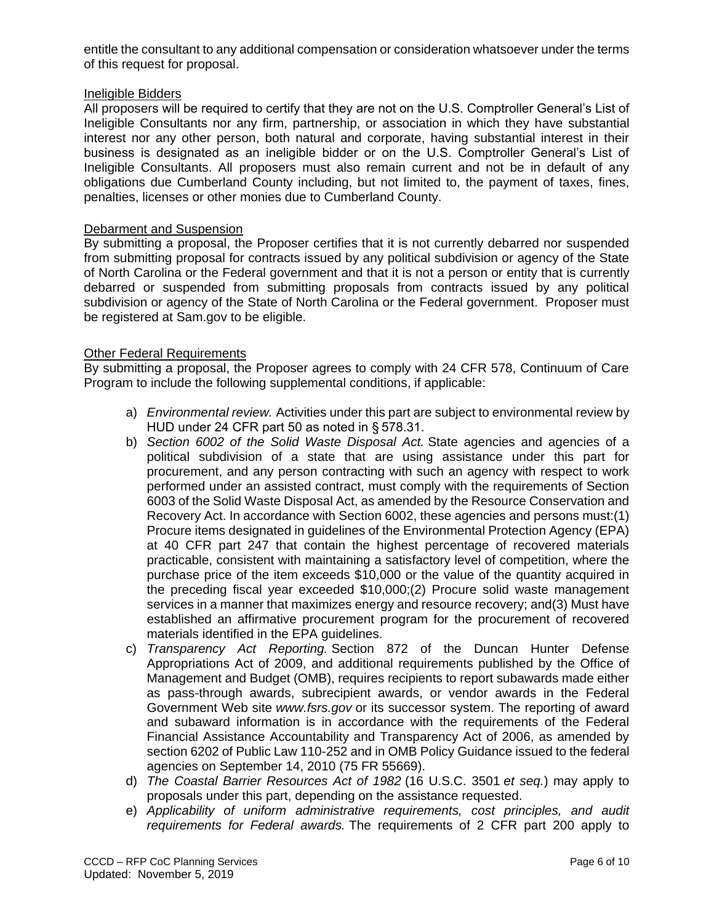entitle the consultant to any additional compensation or consideration whatsoever under the terms of this request for proposal.

## Ineligible Bidders

All proposers will be required to certify that they are not on the U.S. Comptroller General's List of Ineligible Consultants nor any firm, partnership, or association in which they have substantial interest nor any other person, both natural and corporate, having substantial interest in their business is designated as an ineligible bidder or on the U.S. Comptroller General's List of Ineligible Consultants. All proposers must also remain current and not be in default of any obligations due Cumberland County including, but not limited to, the payment of taxes, fines, penalties, licenses or other monies due to Cumberland County.

## **Debarment and Suspension**

By submitting a proposal, the Proposer certifies that it is not currently debarred nor suspended from submitting proposal for contracts issued by any political subdivision or agency of the State of North Carolina or the Federal government and that it is not a person or entity that is currently debarred or suspended from submitting proposals from contracts issued by any political subdivision or agency of the State of North Carolina or the Federal government. Proposer must be registered at Sam.gov to be eligible.

# Other Federal Requirements

By submitting a proposal, the Proposer agrees to comply with 24 CFR 578, Continuum of Care Program to include the following supplemental conditions, if applicable:

- a) *Environmental review.* Activities under this part are subject to environmental review by HUD under 24 CFR part 50 as noted in § 578.31.
- b) *Section 6002 of the Solid Waste Disposal Act.* State agencies and agencies of a political subdivision of a state that are using assistance under this part for procurement, and any person contracting with such an agency with respect to work performed under an assisted contract, must comply with the requirements of Section 6003 of the Solid Waste Disposal Act, as amended by the Resource Conservation and Recovery Act. In accordance with Section 6002, these agencies and persons must:(1) Procure items designated in guidelines of the Environmental Protection Agency (EPA) at 40 CFR part 247 that contain the highest percentage of recovered materials practicable, consistent with maintaining a satisfactory level of competition, where the purchase price of the item exceeds \$10,000 or the value of the quantity acquired in the preceding fiscal year exceeded \$10,000;(2) Procure solid waste management services in a manner that maximizes energy and resource recovery; and(3) Must have established an affirmative procurement program for the procurement of recovered materials identified in the EPA guidelines.
- c) *Transparency Act Reporting.* Section 872 of the Duncan Hunter Defense Appropriations Act of 2009, and additional requirements published by the Office of Management and Budget (OMB), requires recipients to report subawards made either as pass-through awards, subrecipient awards, or vendor awards in the Federal Government Web site *www.fsrs.gov* or its successor system. The reporting of award and subaward information is in accordance with the requirements of the Federal Financial Assistance Accountability and Transparency Act of 2006, as amended by section 6202 of Public Law 110-252 and in OMB Policy Guidance issued to the federal agencies on September 14, 2010 (75 FR 55669).
- d) *The Coastal Barrier Resources Act of 1982* (16 U.S.C. 3501 *et seq.*) may apply to proposals under this part, depending on the assistance requested.
- e) *Applicability of uniform administrative requirements, cost principles, and audit requirements for Federal awards.* The requirements of 2 CFR part 200 apply to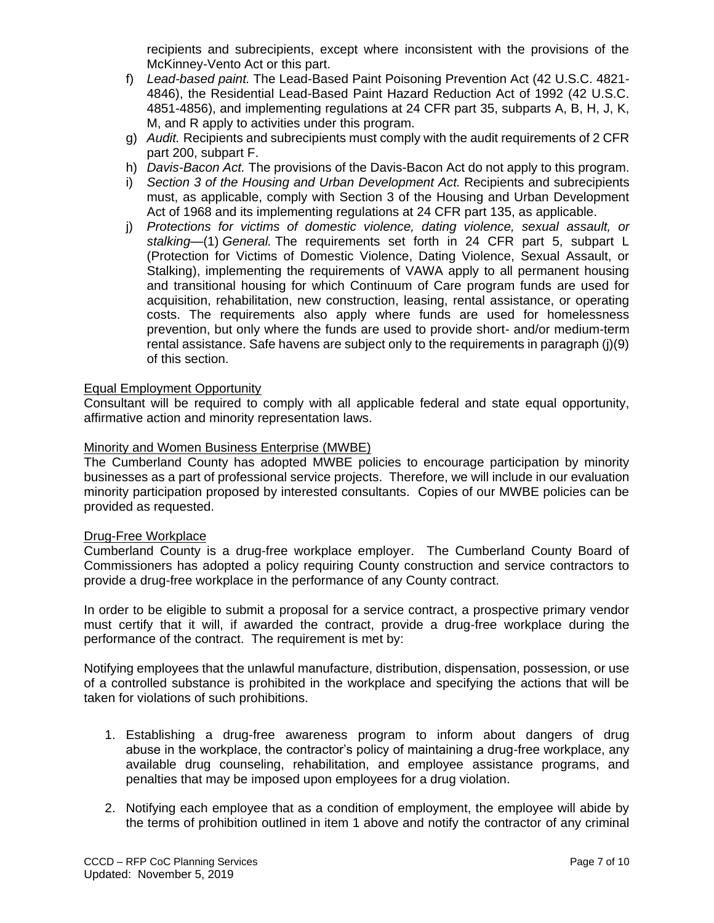recipients and subrecipients, except where inconsistent with the provisions of the McKinney-Vento Act or this part.

- f) *Lead-based paint.* The Lead-Based Paint Poisoning Prevention Act (42 U.S.C. 4821- 4846), the Residential Lead-Based Paint Hazard Reduction Act of 1992 (42 U.S.C. 4851-4856), and implementing regulations at 24 CFR part 35, subparts A, B, H, J, K, M, and R apply to activities under this program.
- g) *Audit.* Recipients and subrecipients must comply with the audit requirements of 2 CFR part 200, subpart F.
- h) *Davis-Bacon Act.* The provisions of the Davis-Bacon Act do not apply to this program.
- i) *Section 3 of the Housing and Urban Development Act.* Recipients and subrecipients must, as applicable, comply with Section 3 of the Housing and Urban Development Act of 1968 and its implementing regulations at 24 CFR part 135, as applicable.
- j) *Protections for victims of domestic violence, dating violence, sexual assault, or stalking*—(1) *General.* The requirements set forth in 24 CFR part 5, subpart L (Protection for Victims of Domestic Violence, Dating Violence, Sexual Assault, or Stalking), implementing the requirements of VAWA apply to all permanent housing and transitional housing for which Continuum of Care program funds are used for acquisition, rehabilitation, new construction, leasing, rental assistance, or operating costs. The requirements also apply where funds are used for homelessness prevention, but only where the funds are used to provide short- and/or medium-term rental assistance. Safe havens are subject only to the requirements in paragraph (j)(9) of this section.

# Equal Employment Opportunity

Consultant will be required to comply with all applicable federal and state equal opportunity, affirmative action and minority representation laws.

## Minority and Women Business Enterprise (MWBE)

The Cumberland County has adopted MWBE policies to encourage participation by minority businesses as a part of professional service projects. Therefore, we will include in our evaluation minority participation proposed by interested consultants. Copies of our MWBE policies can be provided as requested.

#### Drug-Free Workplace

Cumberland County is a drug-free workplace employer. The Cumberland County Board of Commissioners has adopted a policy requiring County construction and service contractors to provide a drug-free workplace in the performance of any County contract.

In order to be eligible to submit a proposal for a service contract, a prospective primary vendor must certify that it will, if awarded the contract, provide a drug-free workplace during the performance of the contract. The requirement is met by:

Notifying employees that the unlawful manufacture, distribution, dispensation, possession, or use of a controlled substance is prohibited in the workplace and specifying the actions that will be taken for violations of such prohibitions.

- 1. Establishing a drug-free awareness program to inform about dangers of drug abuse in the workplace, the contractor's policy of maintaining a drug-free workplace, any available drug counseling, rehabilitation, and employee assistance programs, and penalties that may be imposed upon employees for a drug violation.
- 2. Notifying each employee that as a condition of employment, the employee will abide by the terms of prohibition outlined in item 1 above and notify the contractor of any criminal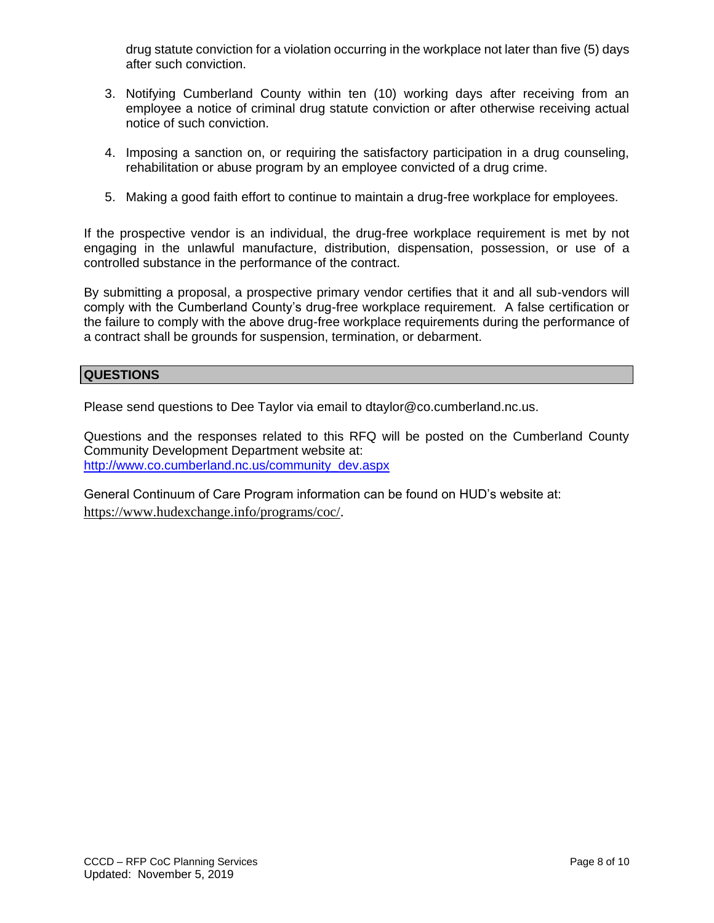drug statute conviction for a violation occurring in the workplace not later than five (5) days after such conviction.

- 3. Notifying Cumberland County within ten (10) working days after receiving from an employee a notice of criminal drug statute conviction or after otherwise receiving actual notice of such conviction.
- 4. Imposing a sanction on, or requiring the satisfactory participation in a drug counseling, rehabilitation or abuse program by an employee convicted of a drug crime.
- 5. Making a good faith effort to continue to maintain a drug-free workplace for employees.

If the prospective vendor is an individual, the drug-free workplace requirement is met by not engaging in the unlawful manufacture, distribution, dispensation, possession, or use of a controlled substance in the performance of the contract.

By submitting a proposal, a prospective primary vendor certifies that it and all sub-vendors will comply with the Cumberland County's drug-free workplace requirement. A false certification or the failure to comply with the above drug-free workplace requirements during the performance of a contract shall be grounds for suspension, termination, or debarment.

## **QUESTIONS**

Please send questions to Dee Taylor via email to dtaylor@co.cumberland.nc.us.

Questions and the responses related to this RFQ will be posted on the Cumberland County Community Development Department website at: [http://www.co.cumberland.nc.us/community\\_dev.aspx](http://www.co.cumberland.nc.us/community_dev.aspx)

General Continuum of Care Program information can be found on HUD's website at: [https://www.hudexchange.info/programs/coc/.](https://www.hudexchange.info/programs/coc/)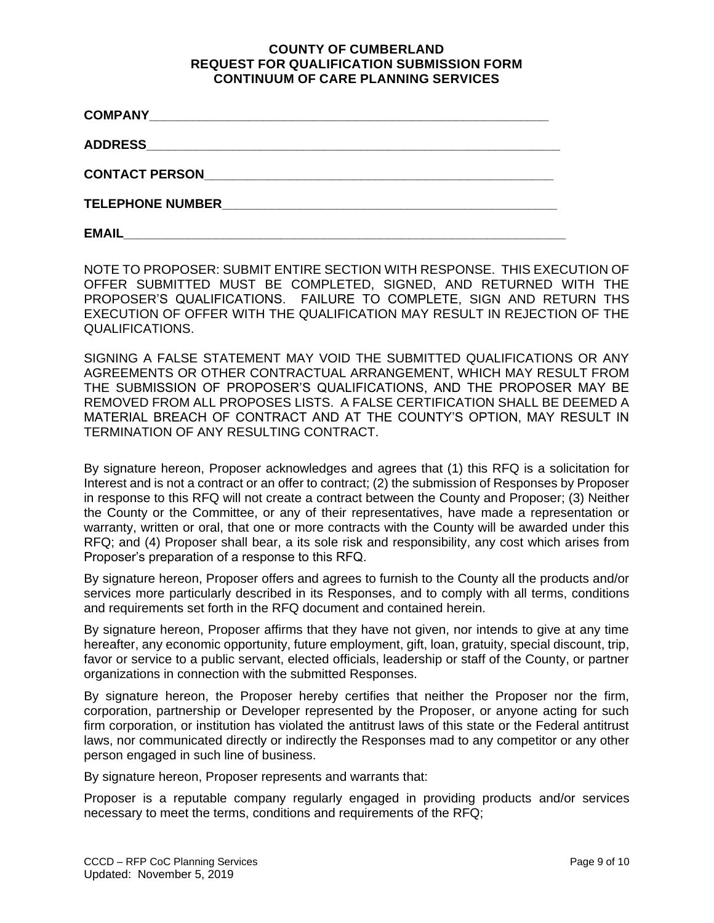## **COUNTY OF CUMBERLAND REQUEST FOR QUALIFICATION SUBMISSION FORM CONTINUUM OF CARE PLANNING SERVICES**

| <b>CONTACT PERSON</b>   |  |
|-------------------------|--|
| <b>TELEPHONE NUMBER</b> |  |
| <b>EMAIL</b>            |  |

NOTE TO PROPOSER: SUBMIT ENTIRE SECTION WITH RESPONSE. THIS EXECUTION OF OFFER SUBMITTED MUST BE COMPLETED, SIGNED, AND RETURNED WITH THE PROPOSER'S QUALIFICATIONS. FAILURE TO COMPLETE, SIGN AND RETURN THS EXECUTION OF OFFER WITH THE QUALIFICATION MAY RESULT IN REJECTION OF THE QUALIFICATIONS.

SIGNING A FALSE STATEMENT MAY VOID THE SUBMITTED QUALIFICATIONS OR ANY AGREEMENTS OR OTHER CONTRACTUAL ARRANGEMENT, WHICH MAY RESULT FROM THE SUBMISSION OF PROPOSER'S QUALIFICATIONS, AND THE PROPOSER MAY BE REMOVED FROM ALL PROPOSES LISTS. A FALSE CERTIFICATION SHALL BE DEEMED A MATERIAL BREACH OF CONTRACT AND AT THE COUNTY'S OPTION, MAY RESULT IN TERMINATION OF ANY RESULTING CONTRACT.

By signature hereon, Proposer acknowledges and agrees that (1) this RFQ is a solicitation for Interest and is not a contract or an offer to contract; (2) the submission of Responses by Proposer in response to this RFQ will not create a contract between the County and Proposer; (3) Neither the County or the Committee, or any of their representatives, have made a representation or warranty, written or oral, that one or more contracts with the County will be awarded under this RFQ; and (4) Proposer shall bear, a its sole risk and responsibility, any cost which arises from Proposer's preparation of a response to this RFQ.

By signature hereon, Proposer offers and agrees to furnish to the County all the products and/or services more particularly described in its Responses, and to comply with all terms, conditions and requirements set forth in the RFQ document and contained herein.

By signature hereon, Proposer affirms that they have not given, nor intends to give at any time hereafter, any economic opportunity, future employment, gift, loan, gratuity, special discount, trip, favor or service to a public servant, elected officials, leadership or staff of the County, or partner organizations in connection with the submitted Responses.

By signature hereon, the Proposer hereby certifies that neither the Proposer nor the firm, corporation, partnership or Developer represented by the Proposer, or anyone acting for such firm corporation, or institution has violated the antitrust laws of this state or the Federal antitrust laws, nor communicated directly or indirectly the Responses mad to any competitor or any other person engaged in such line of business.

By signature hereon, Proposer represents and warrants that:

Proposer is a reputable company regularly engaged in providing products and/or services necessary to meet the terms, conditions and requirements of the RFQ;